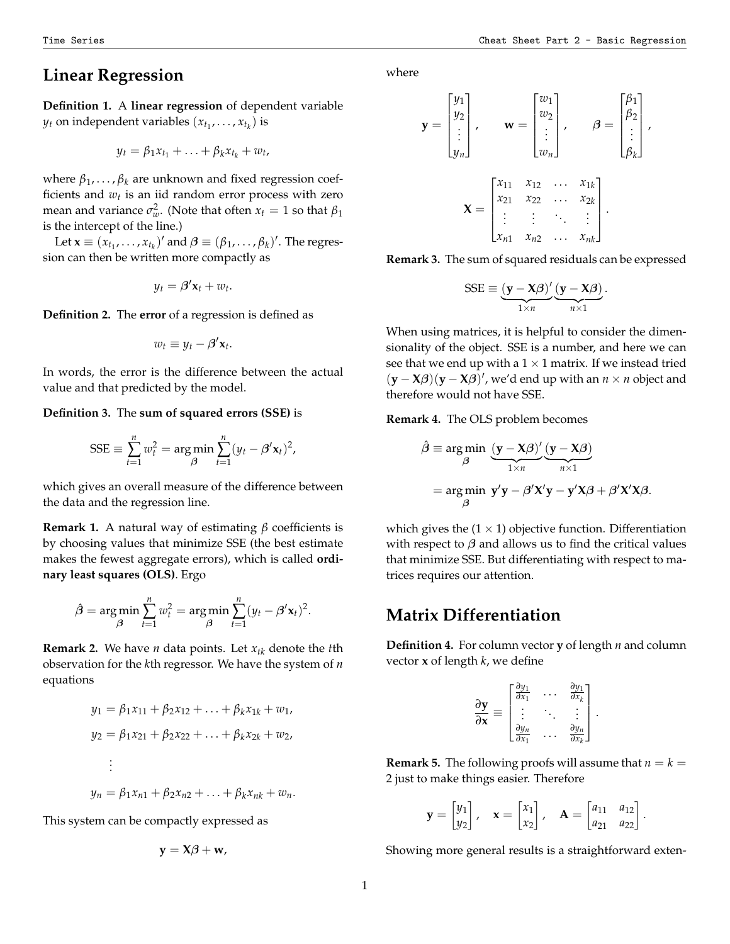## **Linear Regression**

**Definition 1.** A **linear regression** of dependent variable  $y_t$  on independent variables  $(x_{t_1}, \ldots, x_{t_k})$  is

$$
y_t = \beta_1 x_{t_1} + \ldots + \beta_k x_{t_k} + w_t,
$$

where  $β_1, \ldots, β_k$  are unknown and fixed regression coefficients and  $w_t$  is an iid random error process with zero mean and variance  $\sigma_w^2$ . (Note that often  $x_t = 1$  so that  $\beta_1$ is the intercept of the line.)

Let  $\mathbf{x} \equiv (x_{t_1}, \dots, x_{t_k})'$  and  $\boldsymbol{\beta} \equiv (\beta_1, \dots, \beta_k)'$ . The regression can then be written more compactly as

$$
y_t = \beta' \mathbf{x}_t + w_t.
$$

**Definition 2.** The **error** of a regression is defined as

$$
w_t \equiv y_t - \beta' \mathbf{x}_t.
$$

In words, the error is the difference between the actual value and that predicted by the model.

## **Definition 3.** The **sum of squared errors (SSE)** is

$$
SSE \equiv \sum_{t=1}^{n} w_t^2 = \arg\min_{\beta} \sum_{t=1}^{n} (y_t - \beta' \mathbf{x}_t)^2,
$$

which gives an overall measure of the difference between the data and the regression line.

**Remark 1.** A natural way of estimating *β* coefficients is by choosing values that minimize SSE (the best estimate makes the fewest aggregate errors), which is called **ordinary least squares (OLS)**. Ergo

$$
\hat{\beta} = \underset{\beta}{\arg \min} \sum_{t=1}^{n} w_t^2 = \underset{\beta}{\arg \min} \sum_{t=1}^{n} (y_t - \beta' \mathbf{x}_t)^2.
$$

**Remark 2.** We have *n* data points. Let *xtk* denote the *t*th observation for the *k*th regressor. We have the system of *n* equations

$$
y_1 = \beta_1 x_{11} + \beta_2 x_{12} + \dots + \beta_k x_{1k} + w_1,
$$
  
\n
$$
y_2 = \beta_1 x_{21} + \beta_2 x_{22} + \dots + \beta_k x_{2k} + w_2,
$$
  
\n
$$
\vdots
$$
  
\n
$$
y_n = \beta_1 x_{n1} + \beta_2 x_{n2} + \dots + \beta_k x_{nk} + w_n.
$$

This system can be compactly expressed as

$$
\mathbf{y} = \mathbf{X}\boldsymbol{\beta} + \mathbf{w},
$$

Time Series Cheat Sheet Part 2 - Basic Regression

where

$$
\mathbf{y} = \begin{bmatrix} y_1 \\ y_2 \\ \vdots \\ y_n \end{bmatrix}, \quad \mathbf{w} = \begin{bmatrix} w_1 \\ w_2 \\ \vdots \\ w_n \end{bmatrix}, \quad \beta = \begin{bmatrix} \beta_1 \\ \beta_2 \\ \vdots \\ \beta_k \end{bmatrix},
$$

$$
\mathbf{X} = \begin{bmatrix} x_{11} & x_{12} & \cdots & x_{1k} \\ x_{21} & x_{22} & \cdots & x_{2k} \\ \vdots & \vdots & \ddots & \vdots \\ x_{n1} & x_{n2} & \cdots & x_{nk} \end{bmatrix}.
$$

**Remark 3.** The sum of squared residuals can be expressed

$$
SSE \equiv \underbrace{(\mathbf{y} - \mathbf{X}\boldsymbol{\beta})'}_{1 \times n} \underbrace{(\mathbf{y} - \mathbf{X}\boldsymbol{\beta})}_{n \times 1}
$$

.

When using matrices, it is helpful to consider the dimensionality of the object. SSE is a number, and here we can see that we end up with a  $1 \times 1$  matrix. If we instead tried  $(\mathbf{y} - \mathbf{X}\boldsymbol{\beta})(\mathbf{y} - \mathbf{X}\boldsymbol{\beta})'$ , we'd end up with an  $n \times n$  object and therefore would not have SSE.

**Remark 4.** The OLS problem becomes

$$
\hat{\beta} \equiv \underset{\beta}{\arg \min} \underbrace{(y - X\beta)'}_{1 \times n} \underbrace{(y - X\beta)}_{n \times 1}
$$
\n
$$
= \underset{\beta}{\arg \min} y'y - \beta'X'y - y'X\beta + \beta'X'X\beta.
$$

which gives the  $(1 \times 1)$  objective function. Differentiation with respect to  $\beta$  and allows us to find the critical values that minimize SSE. But differentiating with respect to matrices requires our attention.

## **Matrix Differentiation**

<span id="page-0-0"></span>**Definition 4.** For column vector **y** of length *n* and column vector **x** of length *k*, we define

$$
\frac{\partial \mathbf{y}}{\partial \mathbf{x}} \equiv \begin{bmatrix} \frac{\partial y_1}{\partial x_1} & \cdots & \frac{\partial y_1}{\partial x_k} \\ \vdots & \ddots & \vdots \\ \frac{\partial y_n}{\partial x_1} & \cdots & \frac{\partial y_n}{\partial x_k} \end{bmatrix}
$$

.

**Remark 5.** The following proofs will assume that  $n = k =$ 2 just to make things easier. Therefore

$$
\mathbf{y} = \begin{bmatrix} y_1 \\ y_2 \end{bmatrix}, \quad \mathbf{x} = \begin{bmatrix} x_1 \\ x_2 \end{bmatrix}, \quad \mathbf{A} = \begin{bmatrix} a_{11} & a_{12} \\ a_{21} & a_{22} \end{bmatrix}.
$$

Showing more general results is a straightforward exten-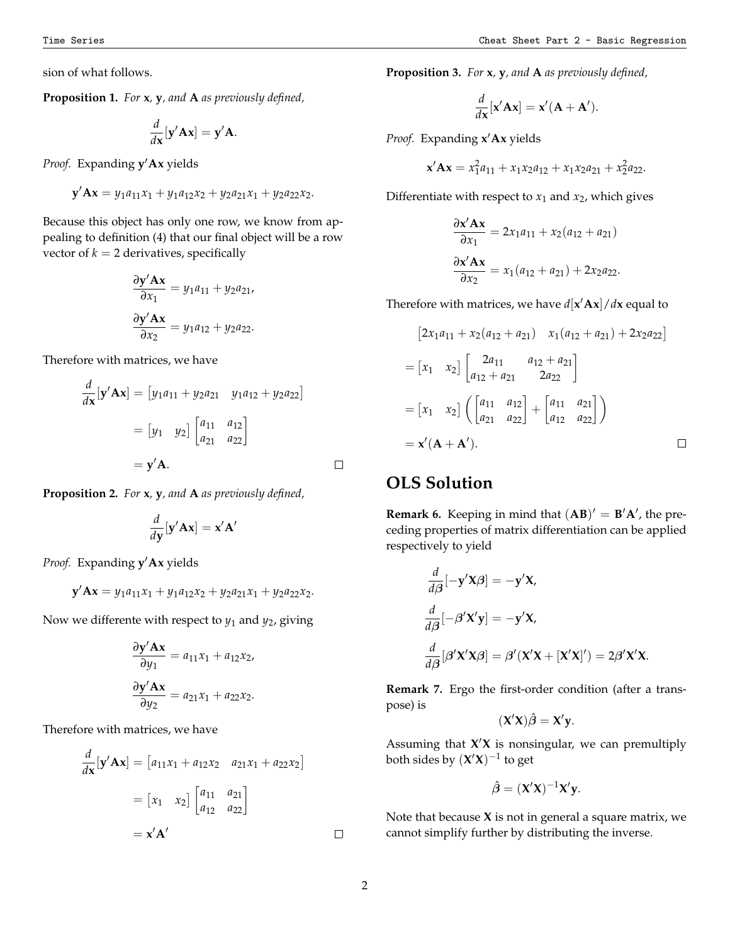sion of what follows.

**Proposition 1.** *For* **x***,* **y***, and* **A** *as previously defined,*

$$
\frac{d}{d\mathbf{x}}[\mathbf{y}'\mathbf{A}\mathbf{x}] = \mathbf{y}'\mathbf{A}.
$$

*Proof.* Expanding **y** ′**Ax** yields

$$
\mathbf{y}'\mathbf{A}\mathbf{x} = y_1a_{11}x_1 + y_1a_{12}x_2 + y_2a_{21}x_1 + y_2a_{22}x_2.
$$

Because this object has only one row, we know from appealing to definition [\(4\)](#page-0-0) that our final object will be a row vector of  $k = 2$  derivatives, specifically

$$
\frac{\partial \mathbf{y}' \mathbf{A} \mathbf{x}}{\partial x_1} = y_1 a_{11} + y_2 a_{21},
$$

$$
\frac{\partial \mathbf{y}' \mathbf{A} \mathbf{x}}{\partial x_2} = y_1 a_{12} + y_2 a_{22}.
$$

Therefore with matrices, we have

$$
\frac{d}{d\mathbf{x}}[\mathbf{y}'\mathbf{A}\mathbf{x}] = [y_1a_{11} + y_2a_{21} \quad y_1a_{12} + y_2a_{22}]
$$

$$
= [y_1 \quad y_2] \begin{bmatrix} a_{11} & a_{12} \\ a_{21} & a_{22} \end{bmatrix}
$$

$$
= \mathbf{y}'\mathbf{A}.
$$

**Proposition 2.** *For* **x***,* **y***, and* **A** *as previously defined,*

$$
\frac{d}{d\mathbf{y}}[\mathbf{y}'\mathbf{A}\mathbf{x}] = \mathbf{x}'\mathbf{A}'
$$

*Proof.* Expanding **y** ′**Ax** yields

$$
\mathbf{y}'\mathbf{A}\mathbf{x} = y_1a_{11}x_1 + y_1a_{12}x_2 + y_2a_{21}x_1 + y_2a_{22}x_2.
$$

Now we differente with respect to  $y_1$  and  $y_2$ , giving

$$
\frac{\partial \mathbf{y}' \mathbf{A} \mathbf{x}}{\partial y_1} = a_{11}x_1 + a_{12}x_2,
$$
  

$$
\frac{\partial \mathbf{y}' \mathbf{A} \mathbf{x}}{\partial y_2} = a_{21}x_1 + a_{22}x_2.
$$

Therefore with matrices, we have

$$
\frac{d}{d\mathbf{x}}[\mathbf{y}'\mathbf{A}\mathbf{x}] = [a_{11}x_1 + a_{12}x_2 \quad a_{21}x_1 + a_{22}x_2]
$$

$$
= [x_1 \quad x_2] \begin{bmatrix} a_{11} & a_{21} \\ a_{12} & a_{22} \end{bmatrix}
$$

$$
= \mathbf{x}'\mathbf{A}'
$$

**Proposition 3.** *For* **x***,* **y***, and* **A** *as previously defined,*

$$
\frac{d}{d\mathbf{x}}[\mathbf{x}'\mathbf{A}\mathbf{x}] = \mathbf{x}'(\mathbf{A} + \mathbf{A}').
$$

*Proof.* Expanding **x** ′**Ax** yields

$$
\mathbf{x}'\mathbf{A}\mathbf{x} = x_1^2a_{11} + x_1x_2a_{12} + x_1x_2a_{21} + x_2^2a_{22}.
$$

Differentiate with respect to  $x_1$  and  $x_2$ , which gives

$$
\frac{\partial \mathbf{x}' \mathbf{A} \mathbf{x}}{\partial x_1} = 2x_1 a_{11} + x_2 (a_{12} + a_{21})
$$

$$
\frac{\partial \mathbf{x}' \mathbf{A} \mathbf{x}}{\partial x_2} = x_1 (a_{12} + a_{21}) + 2x_2 a_{22}.
$$

Therefore with matrices, we have  $d[\mathbf{x}'\mathbf{A}\mathbf{x}]/d\mathbf{x}$  equal to

$$
[2x_1a_{11} + x_2(a_{12} + a_{21}) \t x_1(a_{12} + a_{21}) + 2x_2a_{22}]
$$
  
=  $[x_1 \t x_2] \begin{bmatrix} 2a_{11} & a_{12} + a_{21} \\ a_{12} + a_{21} & 2a_{22} \end{bmatrix}$   
=  $[x_1 \t x_2] \left( \begin{bmatrix} a_{11} & a_{12} \\ a_{21} & a_{22} \end{bmatrix} + \begin{bmatrix} a_{11} & a_{21} \\ a_{12} & a_{22} \end{bmatrix} \right)$   
=  $\mathbf{x}'(\mathbf{A} + \mathbf{A}').$ 

## **OLS Solution**

**Remark 6.** Keeping in mind that  $(AB)' = B'A'$ , the preceding properties of matrix differentiation can be applied respectively to yield

$$
\frac{d}{d\beta}[-y'X\beta] = -y'X,
$$
\n
$$
\frac{d}{d\beta}[-\beta'X'y] = -y'X,
$$
\n
$$
\frac{d}{d\beta}[\beta'X'X\beta] = \beta'(X'X + [X'X]') = 2\beta'X'X.
$$

**Remark 7.** Ergo the first-order condition (after a transpose) is

$$
(X'X)\hat{\beta} = X'y.
$$

Assuming that **X** ′**X** is nonsingular, we can premultiply both sides by  $({\bf X}'{\bf X})^{-1}$  to get

$$
\hat{\beta} = (X'X)^{-1}X'y.
$$

Note that because **X** is not in general a square matrix, we cannot simplify further by distributing the inverse.

 $\Box$